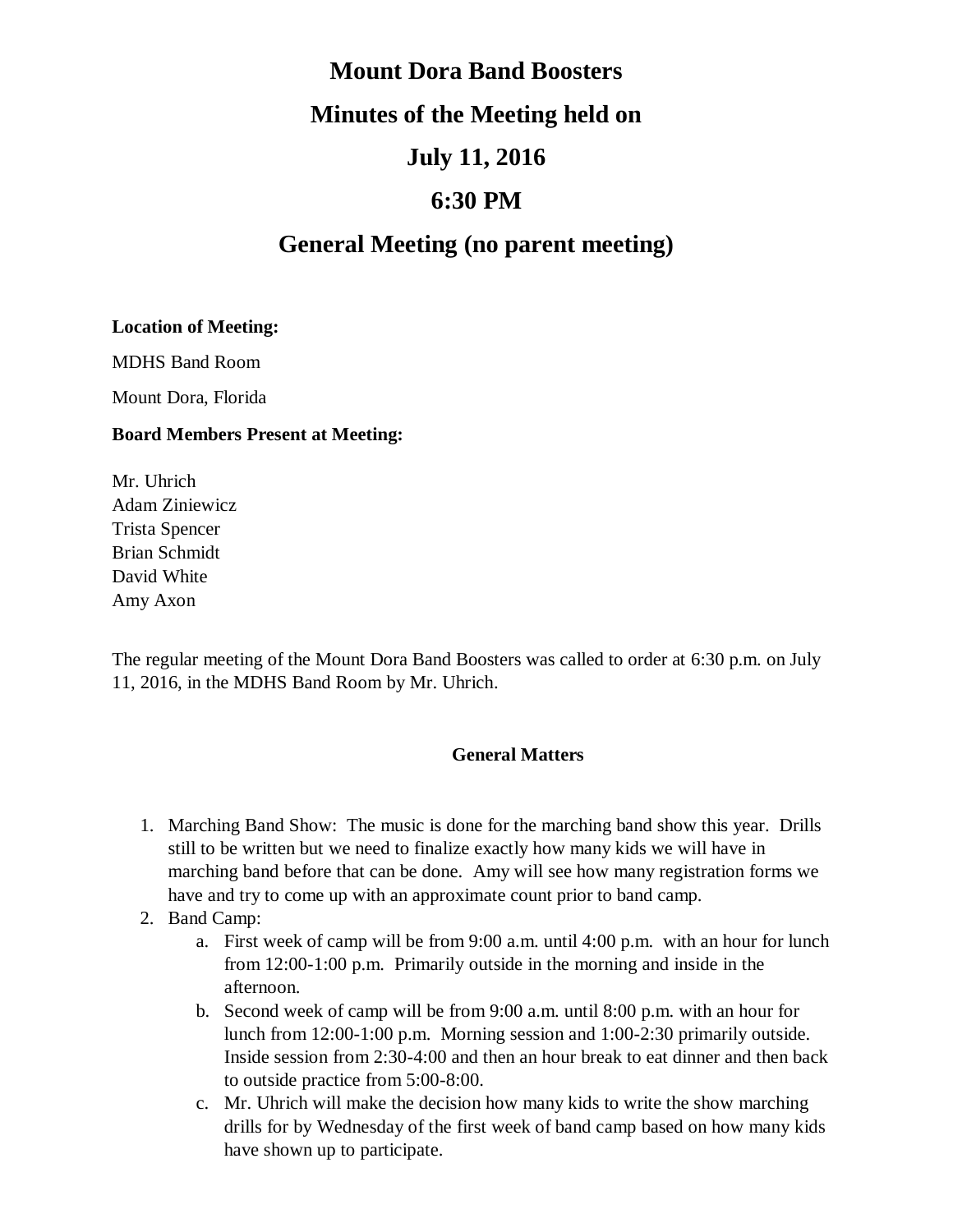# **Mount Dora Band Boosters Minutes of the Meeting held on July 11, 2016**

### **6:30 PM**

## **General Meeting (no parent meeting)**

#### **Location of Meeting:**

MDHS Band Room

Mount Dora, Florida

#### **Board Members Present at Meeting:**

Mr. Uhrich Adam Ziniewicz Trista Spencer Brian Schmidt David White Amy Axon

The regular meeting of the Mount Dora Band Boosters was called to order at 6:30 p.m. on July 11, 2016, in the MDHS Band Room by Mr. Uhrich.

#### **General Matters**

- 1. Marching Band Show: The music is done for the marching band show this year. Drills still to be written but we need to finalize exactly how many kids we will have in marching band before that can be done. Amy will see how many registration forms we have and try to come up with an approximate count prior to band camp.
- 2. Band Camp:
	- a. First week of camp will be from 9:00 a.m. until 4:00 p.m. with an hour for lunch from 12:00-1:00 p.m. Primarily outside in the morning and inside in the afternoon.
	- b. Second week of camp will be from 9:00 a.m. until 8:00 p.m. with an hour for lunch from 12:00-1:00 p.m. Morning session and 1:00-2:30 primarily outside. Inside session from 2:30-4:00 and then an hour break to eat dinner and then back to outside practice from 5:00-8:00.
	- c. Mr. Uhrich will make the decision how many kids to write the show marching drills for by Wednesday of the first week of band camp based on how many kids have shown up to participate.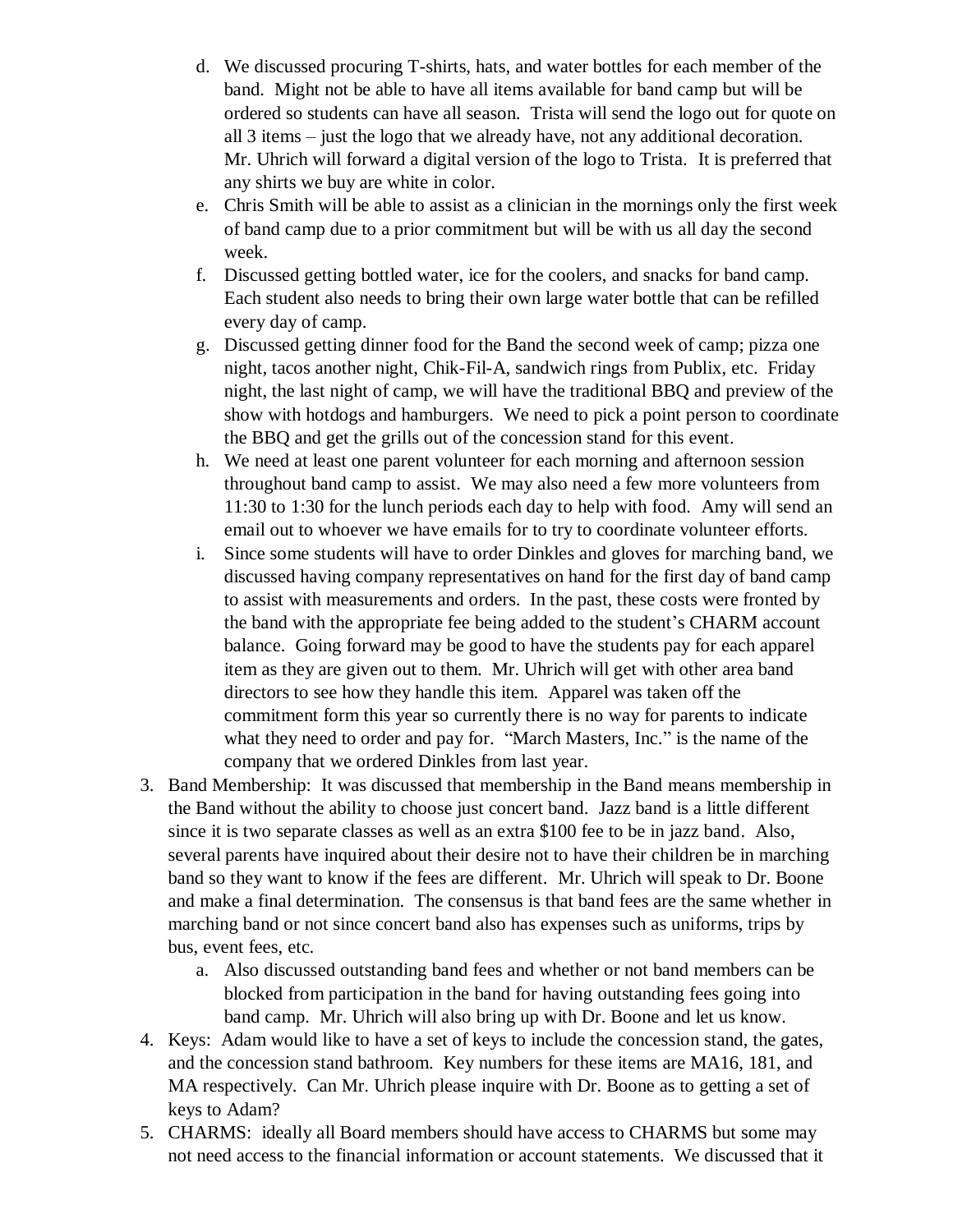- d. We discussed procuring T-shirts, hats, and water bottles for each member of the band. Might not be able to have all items available for band camp but will be ordered so students can have all season. Trista will send the logo out for quote on all 3 items – just the logo that we already have, not any additional decoration. Mr. Uhrich will forward a digital version of the logo to Trista. It is preferred that any shirts we buy are white in color.
- e. Chris Smith will be able to assist as a clinician in the mornings only the first week of band camp due to a prior commitment but will be with us all day the second week.
- f. Discussed getting bottled water, ice for the coolers, and snacks for band camp. Each student also needs to bring their own large water bottle that can be refilled every day of camp.
- g. Discussed getting dinner food for the Band the second week of camp; pizza one night, tacos another night, Chik-Fil-A, sandwich rings from Publix, etc. Friday night, the last night of camp, we will have the traditional BBQ and preview of the show with hotdogs and hamburgers. We need to pick a point person to coordinate the BBQ and get the grills out of the concession stand for this event.
- h. We need at least one parent volunteer for each morning and afternoon session throughout band camp to assist. We may also need a few more volunteers from 11:30 to 1:30 for the lunch periods each day to help with food. Amy will send an email out to whoever we have emails for to try to coordinate volunteer efforts.
- i. Since some students will have to order Dinkles and gloves for marching band, we discussed having company representatives on hand for the first day of band camp to assist with measurements and orders. In the past, these costs were fronted by the band with the appropriate fee being added to the student's CHARM account balance. Going forward may be good to have the students pay for each apparel item as they are given out to them. Mr. Uhrich will get with other area band directors to see how they handle this item. Apparel was taken off the commitment form this year so currently there is no way for parents to indicate what they need to order and pay for. "March Masters, Inc." is the name of the company that we ordered Dinkles from last year.
- 3. Band Membership: It was discussed that membership in the Band means membership in the Band without the ability to choose just concert band. Jazz band is a little different since it is two separate classes as well as an extra \$100 fee to be in jazz band. Also, several parents have inquired about their desire not to have their children be in marching band so they want to know if the fees are different. Mr. Uhrich will speak to Dr. Boone and make a final determination. The consensus is that band fees are the same whether in marching band or not since concert band also has expenses such as uniforms, trips by bus, event fees, etc.
	- a. Also discussed outstanding band fees and whether or not band members can be blocked from participation in the band for having outstanding fees going into band camp. Mr. Uhrich will also bring up with Dr. Boone and let us know.
- 4. Keys: Adam would like to have a set of keys to include the concession stand, the gates, and the concession stand bathroom. Key numbers for these items are MA16, 181, and MA respectively. Can Mr. Uhrich please inquire with Dr. Boone as to getting a set of keys to Adam?
- 5. CHARMS: ideally all Board members should have access to CHARMS but some may not need access to the financial information or account statements. We discussed that it